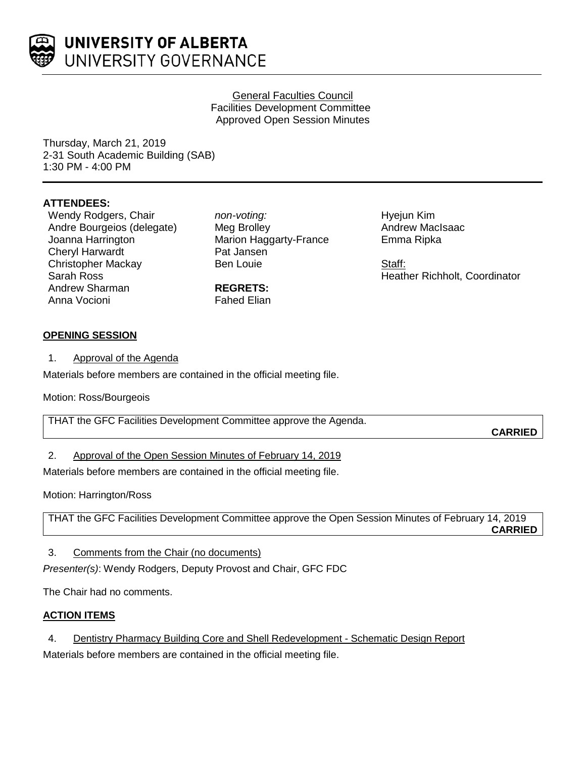

### General Faculties Council Facilities Development Committee Approved Open Session Minutes

Thursday, March 21, 2019 2-31 South Academic Building (SAB) 1:30 PM - 4:00 PM

# **ATTENDEES:**

Wendy Rodgers, Chair Andre Bourgeios (delegate) Joanna Harrington Cheryl Harwardt Christopher Mackay Sarah Ross Andrew Sharman Anna Vocioni

*non-voting:* Meg Brolley Marion Haggarty-France Pat Jansen Ben Louie

**REGRETS:** Fahed Elian Hyejun Kim Andrew MacIsaac Emma Ripka

Staff: Heather Richholt, Coordinator

# **OPENING SESSION**

1. Approval of the Agenda

Materials before members are contained in the official meeting file.

Motion: Ross/Bourgeois

THAT the GFC Facilities Development Committee approve the Agenda.

**CARRIED**

2. Approval of the Open Session Minutes of February 14, 2019

Materials before members are contained in the official meeting file.

Motion: Harrington/Ross

THAT the GFC Facilities Development Committee approve the Open Session Minutes of February 14, 2019 **CARRIED**

3. Comments from the Chair (no documents)

*Presenter(s)*: Wendy Rodgers, Deputy Provost and Chair, GFC FDC

The Chair had no comments.

# **ACTION ITEMS**

4. Dentistry Pharmacy Building Core and Shell Redevelopment - Schematic Design Report

Materials before members are contained in the official meeting file.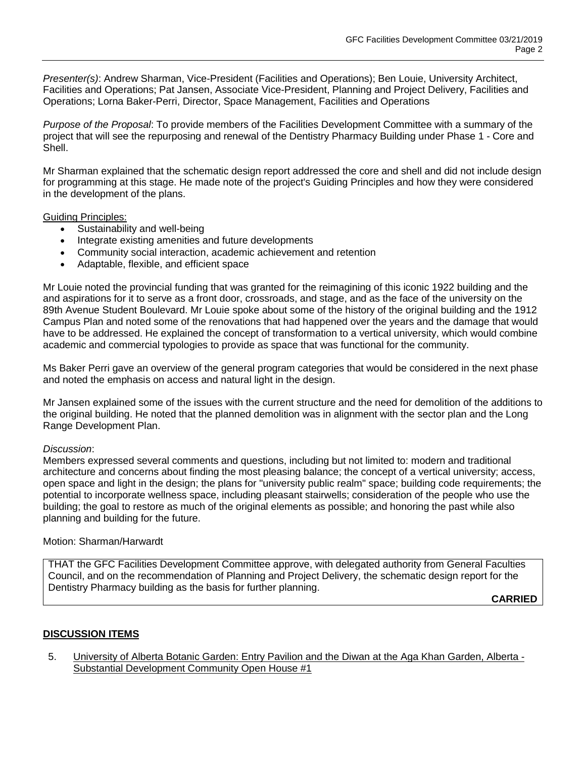*Presenter(s)*: Andrew Sharman, Vice-President (Facilities and Operations); Ben Louie, University Architect, Facilities and Operations; Pat Jansen, Associate Vice-President, Planning and Project Delivery, Facilities and Operations; Lorna Baker-Perri, Director, Space Management, Facilities and Operations

*Purpose of the Proposal*: To provide members of the Facilities Development Committee with a summary of the project that will see the repurposing and renewal of the Dentistry Pharmacy Building under Phase 1 - Core and Shell.

Mr Sharman explained that the schematic design report addressed the core and shell and did not include design for programming at this stage. He made note of the project's Guiding Principles and how they were considered in the development of the plans.

Guiding Principles:

- Sustainability and well-being
- Integrate existing amenities and future developments
- Community social interaction, academic achievement and retention
- Adaptable, flexible, and efficient space

Mr Louie noted the provincial funding that was granted for the reimagining of this iconic 1922 building and the and aspirations for it to serve as a front door, crossroads, and stage, and as the face of the university on the 89th Avenue Student Boulevard. Mr Louie spoke about some of the history of the original building and the 1912 Campus Plan and noted some of the renovations that had happened over the years and the damage that would have to be addressed. He explained the concept of transformation to a vertical university, which would combine academic and commercial typologies to provide as space that was functional for the community.

Ms Baker Perri gave an overview of the general program categories that would be considered in the next phase and noted the emphasis on access and natural light in the design.

Mr Jansen explained some of the issues with the current structure and the need for demolition of the additions to the original building. He noted that the planned demolition was in alignment with the sector plan and the Long Range Development Plan.

#### *Discussion*:

Members expressed several comments and questions, including but not limited to: modern and traditional architecture and concerns about finding the most pleasing balance; the concept of a vertical university; access, open space and light in the design; the plans for "university public realm" space; building code requirements; the potential to incorporate wellness space, including pleasant stairwells; consideration of the people who use the building; the goal to restore as much of the original elements as possible; and honoring the past while also planning and building for the future.

### Motion: Sharman/Harwardt

THAT the GFC Facilities Development Committee approve, with delegated authority from General Faculties Council, and on the recommendation of Planning and Project Delivery, the schematic design report for the Dentistry Pharmacy building as the basis for further planning.

**CARRIED**

# **DISCUSSION ITEMS**

5. University of Alberta Botanic Garden: Entry Pavilion and the Diwan at the Aga Khan Garden, Alberta - Substantial Development Community Open House #1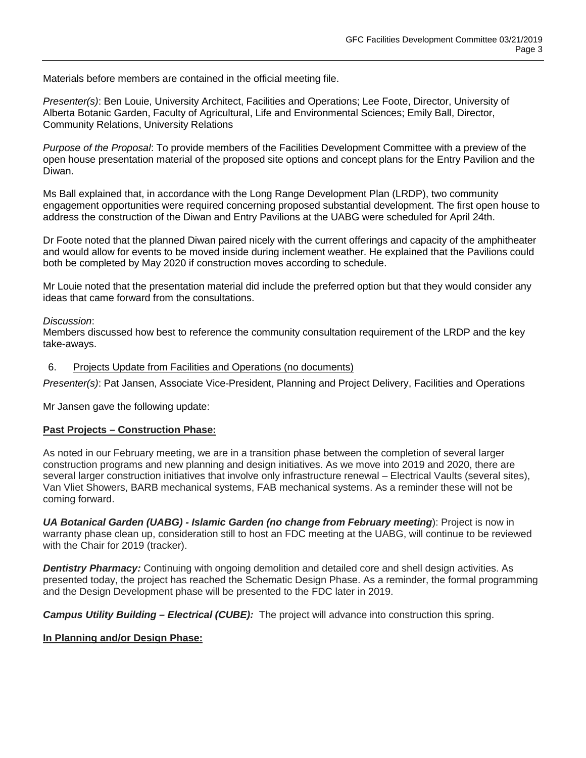Materials before members are contained in the official meeting file.

*Presenter(s)*: Ben Louie, University Architect, Facilities and Operations; Lee Foote, Director, University of Alberta Botanic Garden, Faculty of Agricultural, Life and Environmental Sciences; Emily Ball, Director, Community Relations, University Relations

*Purpose of the Proposal*: To provide members of the Facilities Development Committee with a preview of the open house presentation material of the proposed site options and concept plans for the Entry Pavilion and the Diwan.

Ms Ball explained that, in accordance with the Long Range Development Plan (LRDP), two community engagement opportunities were required concerning proposed substantial development. The first open house to address the construction of the Diwan and Entry Pavilions at the UABG were scheduled for April 24th.

Dr Foote noted that the planned Diwan paired nicely with the current offerings and capacity of the amphitheater and would allow for events to be moved inside during inclement weather. He explained that the Pavilions could both be completed by May 2020 if construction moves according to schedule.

Mr Louie noted that the presentation material did include the preferred option but that they would consider any ideas that came forward from the consultations.

#### *Discussion*:

Members discussed how best to reference the community consultation requirement of the LRDP and the key take-aways.

#### 6. Projects Update from Facilities and Operations (no documents)

*Presenter(s)*: Pat Jansen, Associate Vice-President, Planning and Project Delivery, Facilities and Operations

Mr Jansen gave the following update:

### **Past Projects – Construction Phase:**

As noted in our February meeting, we are in a transition phase between the completion of several larger construction programs and new planning and design initiatives. As we move into 2019 and 2020, there are several larger construction initiatives that involve only infrastructure renewal – Electrical Vaults (several sites), Van Vliet Showers, BARB mechanical systems, FAB mechanical systems. As a reminder these will not be coming forward.

*UA Botanical Garden (UABG) - Islamic Garden (no change from February meeting*): Project is now in warranty phase clean up, consideration still to host an FDC meeting at the UABG, will continue to be reviewed with the Chair for 2019 (tracker).

**Dentistry Pharmacy:** Continuing with ongoing demolition and detailed core and shell design activities. As presented today, the project has reached the Schematic Design Phase. As a reminder, the formal programming and the Design Development phase will be presented to the FDC later in 2019.

*Campus Utility Building – Electrical (CUBE):* The project will advance into construction this spring.

### **In Planning and/or Design Phase:**